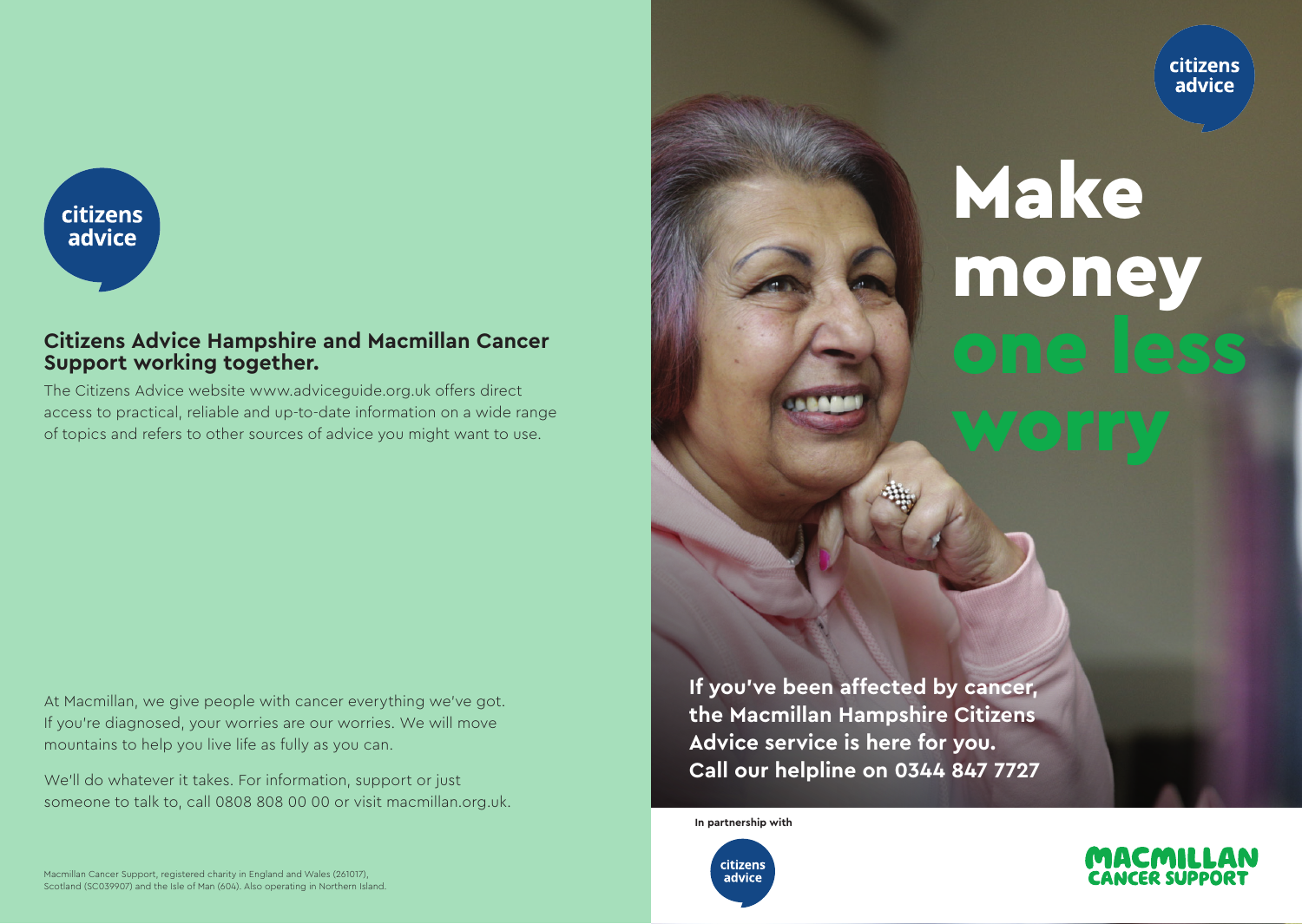citizens advice



#### **Citizens Advice Hampshire and Macmillan Cancer Support working together.**

The Citizens Advice website www.adviceguide.org.uk offers direct access to practical, reliable and up-to-date information on a wide range of topics and refers to other sources of advice you might want to use.

At Macmillan, we give people with cancer everything we've got. If you're diagnosed, your worries are our worries. We will move mountains to help you live life as fully as you can.

We'll do whatever it takes. For information, support or just someone to talk to, call 0808 808 00 00 or visit macmillan.org.uk.

Macmillan Cancer Support, registered charity in England and Wales (261017), Scotland (SC039907) and the Isle of Man (604). Also operating in Northern Island. Make money

**If you've been affected by cancer, the Macmillan Hampshire Citizens Advice service is here for you. Call our helpline on 0344 847 7727**

**In partnership with**